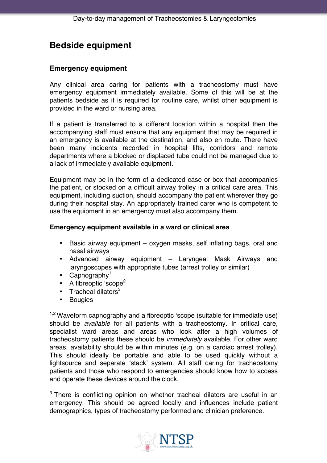## **Bedside equipment**

## **Emergency equipment**

Any clinical area caring for patients with a tracheostomy must have emergency equipment immediately available. Some of this will be at the patients bedside as it is required for routine care, whilst other equipment is provided in the ward or nursing area.

If a patient is transferred to a different location within a hospital then the accompanying staff must ensure that any equipment that may be required in an emergency is available at the destination, and also en route. There have been many incidents recorded in hospital lifts, corridors and remote departments where a blocked or displaced tube could not be managed due to a lack of immediately available equipment.

Equipment may be in the form of a dedicated case or box that accompanies the patient, or stocked on a difficult airway trolley in a critical care area. This equipment, including suction, should accompany the patient wherever they go during their hospital stay. An appropriately trained carer who is competent to use the equipment in an emergency must also accompany them.

## **Emergency equipment available in a ward or clinical area**

- Basic airway equipment oxygen masks, self inflating bags, oral and nasal airways
- Advanced airway equipment Laryngeal Mask Airways and laryngoscopes with appropriate tubes (arrest trolley or similar)
- Capnography<sup>1</sup>
- A fibreoptic 'scope<sup>2</sup>
- Tracheal dilators $3$
- Bougies

 $1.2$  Waveform capnography and a fibreoptic 'scope (suitable for immediate use) should be *available* for all patients with a tracheostomy. In critical care, specialist ward areas and areas who look after a high volumes of tracheostomy patients these should be *immediately* available. For other ward areas, availability should be within minutes (e.g. on a cardiac arrest trolley). This should ideally be portable and able to be used quickly without a lightsource and separate 'stack' system. All staff caring for tracheostomy patients and those who respond to emergencies should know how to access and operate these devices around the clock.

 $3$  There is conflicting opinion on whether tracheal dilators are useful in an emergency. This should be agreed locally and influences include patient demographics, types of tracheostomy performed and clinician preference.